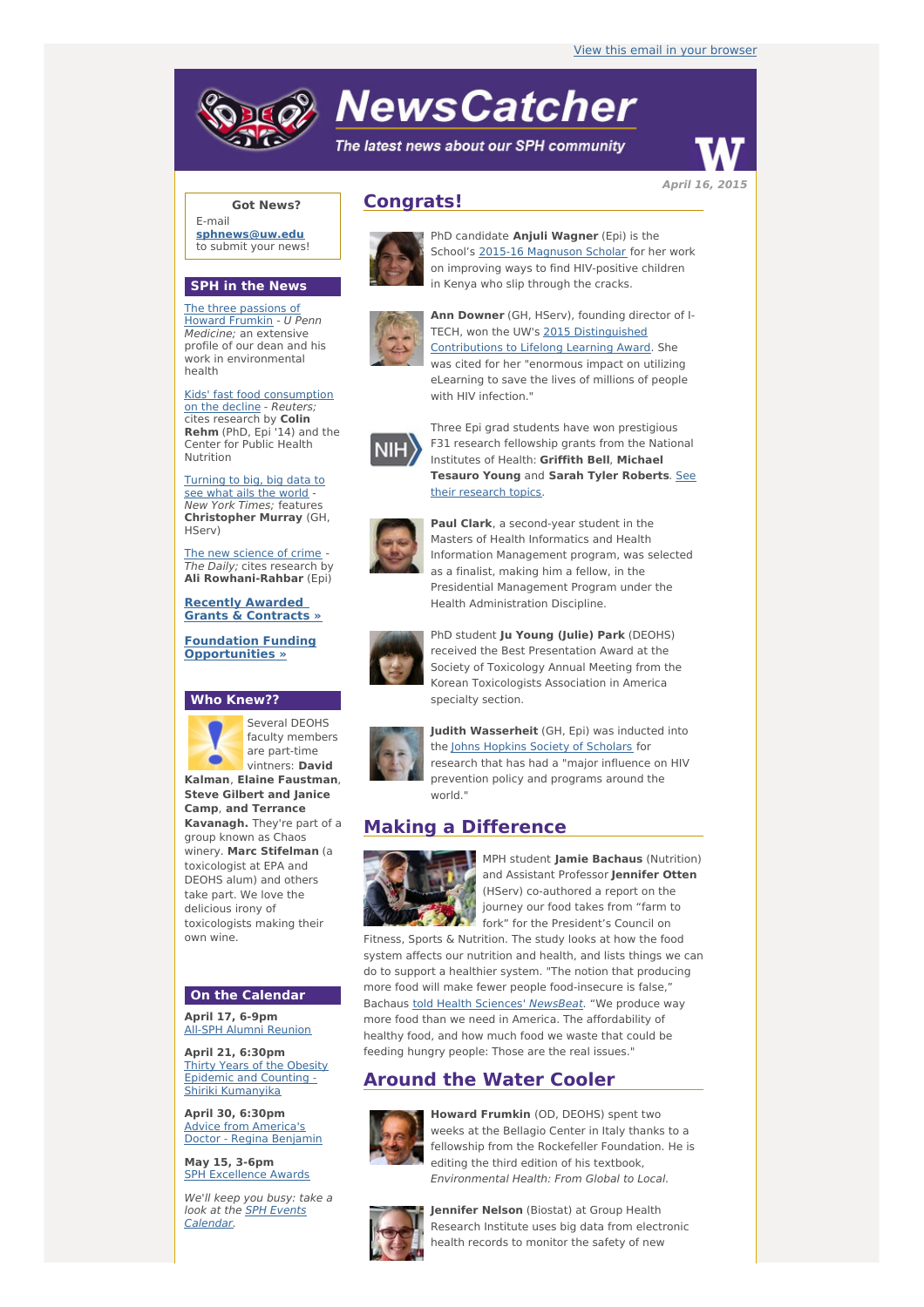# **NewsCatcher**

The latest news about our SPH community



**Got News?**

E-mail **[sphnews@uw.edu](mailto:sphnews@uw.edu)** to submit your news!

#### **SPH in the News**

The three [passions](http://engage.washington.edu/site/R?i=H0yyJfcryBQAk9slX6ijtA) of Howard Frumkin - U Penn Medicine; an extensive profile of our dean and his work in environmental health

Kids' fast food [consumption](http://engage.washington.edu/site/R?i=9xiXDUdura2y02EAQb5q6w) on the decline - Reuters; cites research by **Colin Rehm** (PhD, Epi '14) and the Center for Public Health Nutrition

[Turning](http://engage.washington.edu/site/R?i=q-sUk79DvIbFBth46sX1NA) to big, big data to see what ails the world - New York Times; features **Christopher Murray** (GH, HServ)

The new [science](http://engage.washington.edu/site/R?i=zyBA0h0U2giYIJ9pSecgWw) of crime -The Daily; cites research by **Ali Rowhani-Rahbar** (Epi)

**Recently Awarded Grants & [Contracts](http://engage.washington.edu/site/R?i=pZ1lTKcPoIRr-bx-zJdXHw) »**

**Foundation Funding [Opportunities](http://engage.washington.edu/site/R?i=tumGOC972FGDd-jf7ogodw) »**

## **Who Knew??**



Several DEOHS faculty members are part-time vintners: **David**

**Kalman**, **Elaine Faustman**, **Steve Gilbert and Janice Camp**, **and Terrance Kavanagh.** They're part of a group known as Chaos winery. **Marc Stifelman** (a toxicologist at EPA and DEOHS alum) and others take part. We love the delicious irony of toxicologists making their own wine.

## **On the Calendar**

**April 17, 6-9pm** All-SPH Alumni [Reunion](http://engage.washington.edu/site/R?i=Rz2Dduh63JeZXe2EDhvHiA)

**April 21, 6:30pm** Thirty Years of the Obesity Epidemic and Counting - Shiriki [Kumanyika](http://engage.washington.edu/site/R?i=1jXaz6Pp_lEq4B6eEKZgIw)

**April 30, 6:30pm** Advice from [America's](http://engage.washington.edu/site/R?i=3-2hdUoozwbWHLqYTDqLfw) Doctor - Regina Benjamin

**May 15, 3-6pm** SPH [Excellence](http://engage.washington.edu/site/R?i=oEzFhAwi4JhIXftGwxinEg) Awards

We'll keep you busy: take a look at the <u>SPH Events</u> [Calendar.](http://engage.washington.edu/site/R?i=sM6X0FP_bZt32TnBqhEfZg)





PhD candidate **Anjuli Wagner** (Epi) is the School's 2015-16 [Magnuson](http://engage.washington.edu/site/R?i=-3cbWbuXzygetcR567zsPQ) Scholar for her work on improving ways to find HIV-positive children in Kenya who slip through the cracks.



**Ann Downer** (GH, HServ), founding director of I-TECH, won the UW's 2015 [Distinguished](http://engage.washington.edu/site/R?i=hc2jcKoMVLY0zSpwKwX9kQ) Contributions to Lifelong Learning Award. She was cited for her "enormous impact on utilizing eLearning to save the lives of millions of people with HIV infection."



Three Epi grad students have won prestigious F31 research fellowship grants from the National Institutes of Health: **Griffith Bell**, **Michael [Tesauro](http://engage.washington.edu/site/R?i=y06Kqk2I8Urey0v4qJ0F6Q) Young** and **Sarah Tyler Roberts**. See their research topics.



**Paul Clark**, a second-year student in the Masters of Health Informatics and Health Information Management program, was selected as a finalist, making him a fellow, in the Presidential Management Program under the Health Administration Discipline.



PhD student **Ju Young (Julie) Park** (DEOHS) received the Best Presentation Award at the Society of Toxicology Annual Meeting from the Korean Toxicologists Association in America specialty section.



**Judith Wasserheit** (GH, Epi) was inducted into the Johns Hopkins Society of [Scholars](http://engage.washington.edu/site/R?i=975Xl8AiLJf7UUvpR1zdSg) for research that has had a "major influence on HIV prevention policy and programs around the world."

# **Making a Difference**



MPH student **Jamie Bachaus** (Nutrition) and Assistant Professor **Jennifer Otten** (HServ) co-authored a report on the journey our food takes from "farm to fork" for the President's Council on

Fitness, Sports & Nutrition. The study looks at how the food system affects our nutrition and health, and lists things we can do to support a healthier system. "The notion that producing more food will make fewer people food-insecure is false," Bachaus told Health Sciences' [NewsBeat](http://engage.washington.edu/site/R?i=uG72H9ioV1DCmpVkezwsrw). "We produce way more food than we need in America. The affordability of healthy food, and how much food we waste that could be feeding hungry people: Those are the real issues."

# **Around the Water Cooler**



**Howard Frumkin** (OD, DEOHS) spent two weeks at the Bellagio Center in Italy thanks to a fellowship from the Rockefeller Foundation. He is editing the third edition of his textbook, Environmental Health: From Global to Local.



**Jennifer Nelson** (Biostat) at Group Health Research Institute uses big data from electronic health records to monitor the safety of new

**April 16, 2015**